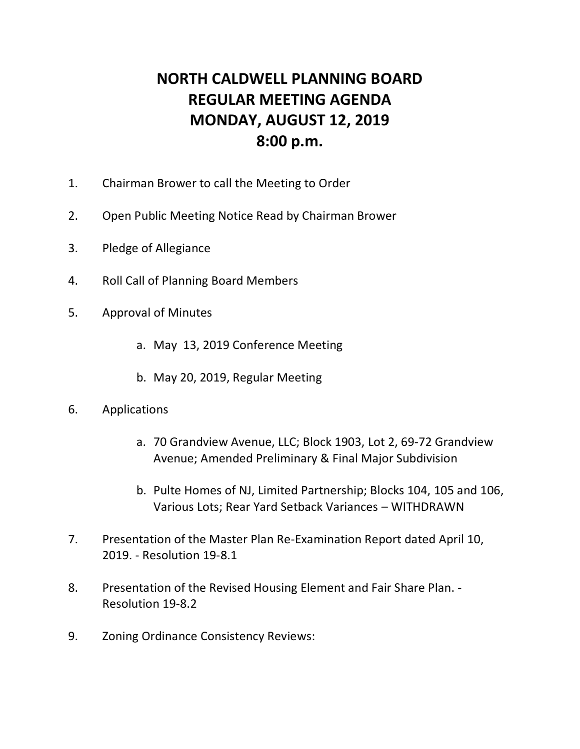## **NORTH CALDWELL PLANNING BOARD REGULAR MEETING AGENDA MONDAY, AUGUST 12, 2019 8:00 p.m.**

- 1. Chairman Brower to call the Meeting to Order
- 2. Open Public Meeting Notice Read by Chairman Brower
- 3. Pledge of Allegiance
- 4. Roll Call of Planning Board Members
- 5. Approval of Minutes
	- a. May 13, 2019 Conference Meeting
	- b. May 20, 2019, Regular Meeting
- 6. Applications
	- a. 70 Grandview Avenue, LLC; Block 1903, Lot 2, 69-72 Grandview Avenue; Amended Preliminary & Final Major Subdivision
	- b. Pulte Homes of NJ, Limited Partnership; Blocks 104, 105 and 106, Various Lots; Rear Yard Setback Variances – WITHDRAWN
- 7. Presentation of the Master Plan Re-Examination Report dated April 10, 2019. - Resolution 19-8.1
- 8. Presentation of the Revised Housing Element and Fair Share Plan. Resolution 19-8.2
- 9. Zoning Ordinance Consistency Reviews: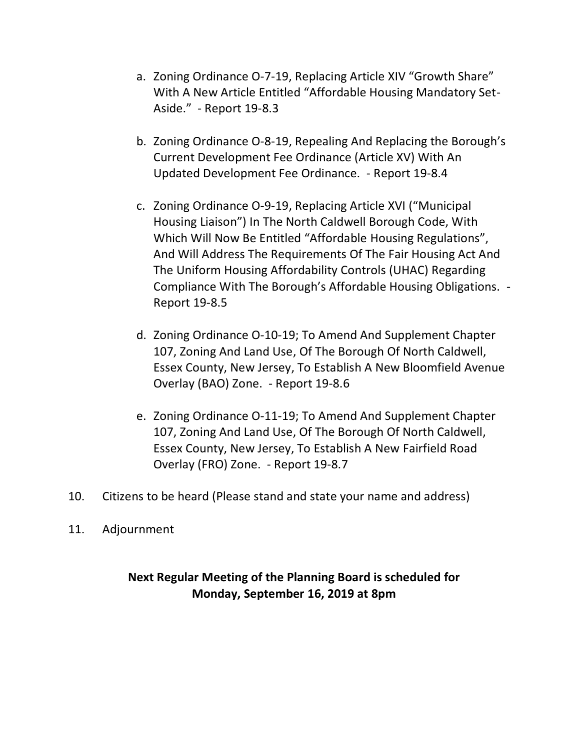- a. Zoning Ordinance O-7-19, Replacing Article XIV "Growth Share" With A New Article Entitled "Affordable Housing Mandatory Set-Aside." - Report 19-8.3
- b. Zoning Ordinance O-8-19, Repealing And Replacing the Borough's Current Development Fee Ordinance (Article XV) With An Updated Development Fee Ordinance. - Report 19-8.4
- c. Zoning Ordinance O-9-19, Replacing Article XVI ("Municipal Housing Liaison") In The North Caldwell Borough Code, With Which Will Now Be Entitled "Affordable Housing Regulations", And Will Address The Requirements Of The Fair Housing Act And The Uniform Housing Affordability Controls (UHAC) Regarding Compliance With The Borough's Affordable Housing Obligations. - Report 19-8.5
- d. Zoning Ordinance O-10-19; To Amend And Supplement Chapter 107, Zoning And Land Use, Of The Borough Of North Caldwell, Essex County, New Jersey, To Establish A New Bloomfield Avenue Overlay (BAO) Zone. - Report 19-8.6
- e. Zoning Ordinance O-11-19; To Amend And Supplement Chapter 107, Zoning And Land Use, Of The Borough Of North Caldwell, Essex County, New Jersey, To Establish A New Fairfield Road Overlay (FRO) Zone. - Report 19-8.7
- 10. Citizens to be heard (Please stand and state your name and address)
- 11. Adjournment

## **Next Regular Meeting of the Planning Board is scheduled for Monday, September 16, 2019 at 8pm**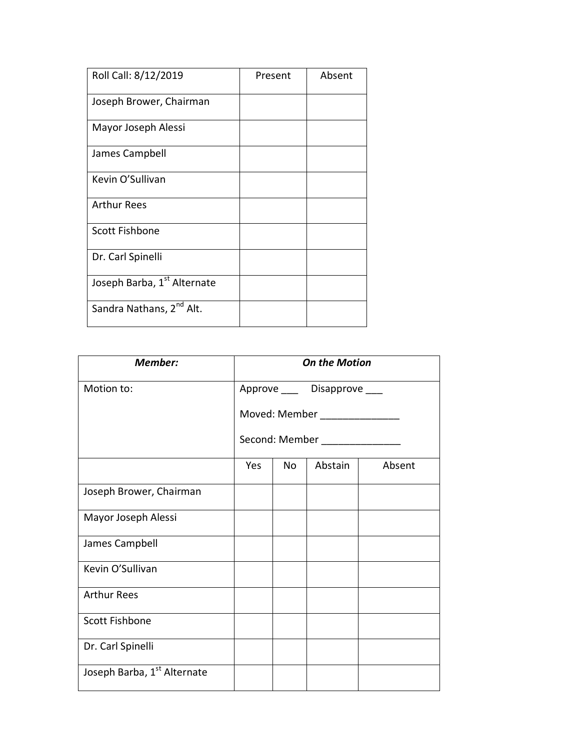| Roll Call: 8/12/2019                 | Present | Absent |
|--------------------------------------|---------|--------|
| Joseph Brower, Chairman              |         |        |
| Mayor Joseph Alessi                  |         |        |
| James Campbell                       |         |        |
| Kevin O'Sullivan                     |         |        |
| <b>Arthur Rees</b>                   |         |        |
| <b>Scott Fishbone</b>                |         |        |
| Dr. Carl Spinelli                    |         |        |
| Joseph Barba, 1st Alternate          |         |        |
| Sandra Nathans, 2 <sup>nd</sup> Alt. |         |        |

| Member:                     | <b>On the Motion</b>                                            |     |         |        |  |
|-----------------------------|-----------------------------------------------------------------|-----|---------|--------|--|
| Motion to:                  | Approve ____ Disapprove ___                                     |     |         |        |  |
|                             | Moved: Member _______________<br>Second: Member _______________ |     |         |        |  |
|                             |                                                                 |     |         |        |  |
|                             | Yes                                                             | No. | Abstain | Absent |  |
| Joseph Brower, Chairman     |                                                                 |     |         |        |  |
| Mayor Joseph Alessi         |                                                                 |     |         |        |  |
| James Campbell              |                                                                 |     |         |        |  |
| Kevin O'Sullivan            |                                                                 |     |         |        |  |
| <b>Arthur Rees</b>          |                                                                 |     |         |        |  |
| <b>Scott Fishbone</b>       |                                                                 |     |         |        |  |
| Dr. Carl Spinelli           |                                                                 |     |         |        |  |
| Joseph Barba, 1st Alternate |                                                                 |     |         |        |  |